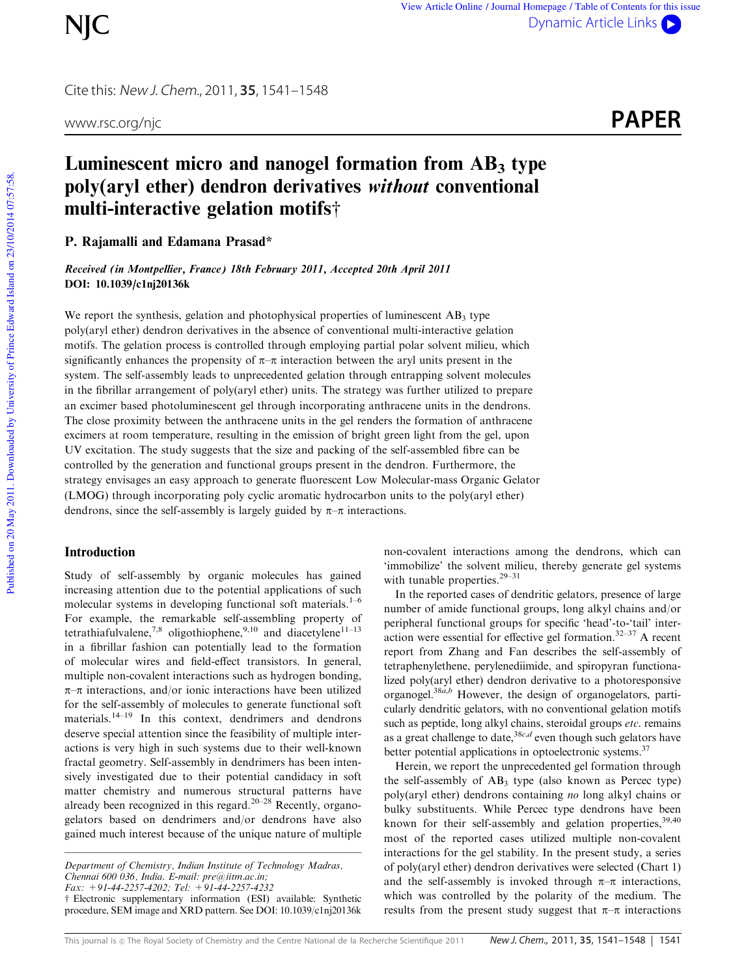Cite this: New J. Chem., 2011, **35**, 1541–1548

www.rsc.org/njc **PAPER** 

# Luminescent micro and nanogel formation from  $AB_3$  type poly(aryl ether) dendron derivatives without conventional multi-interactive gelation motifst

P. Rajamalli and Edamana Prasad\*

Received (in Montpellier, France) 18th February 2011, Accepted 20th April 2011 DOI: 10.1039/c1nj20136k

We report the synthesis, gelation and photophysical properties of luminescent  $AB_3$  type poly(aryl ether) dendron derivatives in the absence of conventional multi-interactive gelation motifs. The gelation process is controlled through employing partial polar solvent milieu, which significantly enhances the propensity of  $\pi-\pi$  interaction between the aryl units present in the system. The self-assembly leads to unprecedented gelation through entrapping solvent molecules in the fibrillar arrangement of poly(aryl ether) units. The strategy was further utilized to prepare an excimer based photoluminescent gel through incorporating anthracene units in the dendrons. The close proximity between the anthracene units in the gel renders the formation of anthracene excimers at room temperature, resulting in the emission of bright green light from the gel, upon UV excitation. The study suggests that the size and packing of the self-assembled fibre can be controlled by the generation and functional groups present in the dendron. Furthermore, the strategy envisages an easy approach to generate fluorescent Low Molecular-mass Organic Gelator (LMOG) through incorporating poly cyclic aromatic hydrocarbon units to the poly(aryl ether) dendrons, since the self-assembly is largely guided by  $\pi-\pi$  interactions.

# Introduction

Study of self-assembly by organic molecules has gained increasing attention due to the potential applications of such molecular systems in developing functional soft materials. $1-6$ For example, the remarkable self-assembling property of tetrathiafulvalene,<sup>7,8</sup> oligothiophene,<sup>9,10</sup> and diacetylene<sup>11-13</sup> in a fibrillar fashion can potentially lead to the formation of molecular wires and field-effect transistors. In general, multiple non-covalent interactions such as hydrogen bonding,  $\pi-\pi$  interactions, and/or ionic interactions have been utilized for the self-assembly of molecules to generate functional soft materials.<sup>14–19</sup> In this context, dendrimers and dendrons deserve special attention since the feasibility of multiple interactions is very high in such systems due to their well-known fractal geometry. Self-assembly in dendrimers has been intensively investigated due to their potential candidacy in soft matter chemistry and numerous structural patterns have already been recognized in this regard.<sup>20–28</sup> Recently, organogelators based on dendrimers and/or dendrons have also gained much interest because of the unique nature of multiple

*Fax: +91-44-2257-4202; Tel: +91-44-2257-4232*

 $\dagger$  Electronic supplementary information (ESI) available: Synthetic procedure, SEM image and XRD pattern. See DOI: 10.1039/c1nj20136k

non-covalent interactions among the dendrons, which can 'immobilize' the solvent milieu, thereby generate gel systems with tunable properties.<sup>29–31</sup>

In the reported cases of dendritic gelators, presence of large number of amide functional groups, long alkyl chains and/or peripheral functional groups for specific 'head'-to-'tail' interaction were essential for effective gel formation.32–37 A recent report from Zhang and Fan describes the self-assembly of tetraphenylethene, perylenediimide, and spiropyran functionalized poly(aryl ether) dendron derivative to a photoresponsive organogel.38*a*,*<sup>b</sup>* However, the design of organogelators, particularly dendritic gelators, with no conventional gelation motifs such as peptide, long alkyl chains, steroidal groups *etc.* remains as a great challenge to date,<sup>38*c*, $d$ </sup> even though such gelators have better potential applications in optoelectronic systems.<sup>37</sup>

Herein, we report the unprecedented gel formation through the self-assembly of  $AB_3$  type (also known as Percec type) poly(aryl ether) dendrons containing *no* long alkyl chains or bulky substituents. While Percec type dendrons have been known for their self-assembly and gelation properties,  $39,40$ most of the reported cases utilized multiple non-covalent interactions for the gel stability. In the present study, a series of poly(aryl ether) dendron derivatives were selected (Chart 1) and the self-assembly is invoked through  $\pi-\pi$  interactions, which was controlled by the polarity of the medium. The results from the present study suggest that  $\pi-\pi$  interactions

*Department of Chemistry, Indian Institute of Technology Madras, Chennai 600 036, India. E-mail: pre@iitm.ac.in;*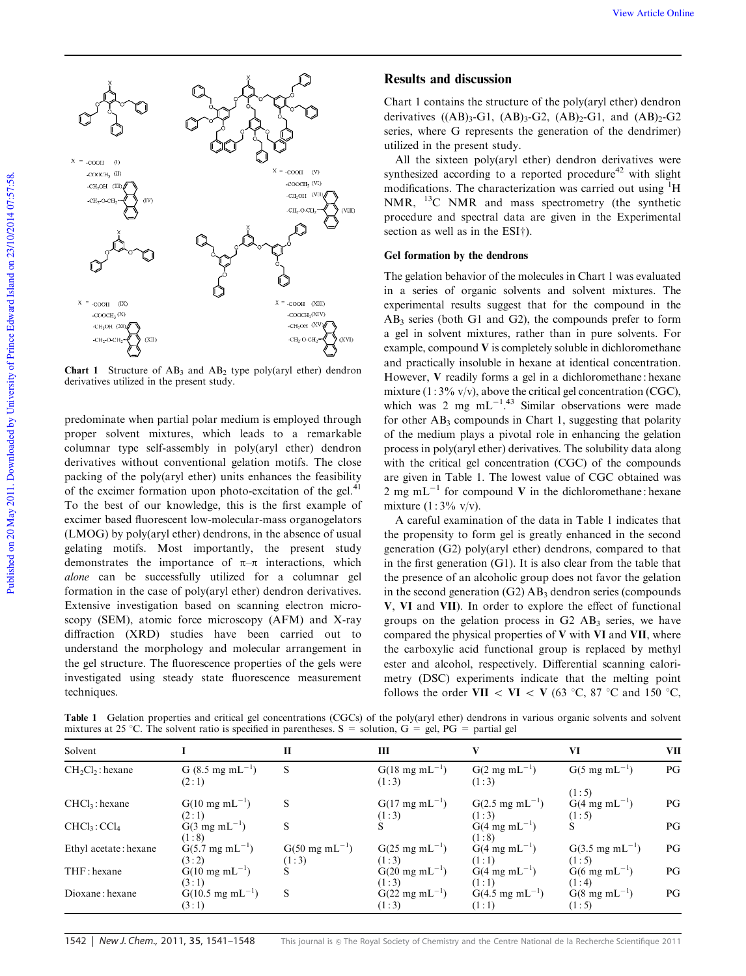

**Chart 1** Structure of  $AB_3$  and  $AB_2$  type poly(aryl ether) dendron derivatives utilized in the present study.

predominate when partial polar medium is employed through proper solvent mixtures, which leads to a remarkable columnar type self-assembly in poly(aryl ether) dendron derivatives without conventional gelation motifs. The close packing of the poly(aryl ether) units enhances the feasibility of the excimer formation upon photo-excitation of the gel. $41$ To the best of our knowledge, this is the first example of excimer based fluorescent low-molecular-mass organogelators (LMOG) by poly(aryl ether) dendrons, in the absence of usual gelating motifs. Most importantly, the present study demonstrates the importance of  $\pi-\pi$  interactions, which *alone* can be successfully utilized for a columnar gel formation in the case of poly(aryl ether) dendron derivatives. Extensive investigation based on scanning electron microscopy (SEM), atomic force microscopy (AFM) and X-ray diffraction (XRD) studies have been carried out to understand the morphology and molecular arrangement in the gel structure. The fluorescence properties of the gels were investigated using steady state fluorescence measurement techniques.

# Results and discussion

Chart 1 contains the structure of the poly(aryl ether) dendron derivatives  $((AB)_{3}-G1, (AB)_{3}-G2, (AB)_{2}-G1,$  and  $(AB)_{2}-G2$ series, where G represents the generation of the dendrimer) utilized in the present study.

All the sixteen poly(aryl ether) dendron derivatives were synthesized according to a reported procedure $42$  with slight modifications. The characterization was carried out using <sup>1</sup>H NMR, <sup>13</sup>C NMR and mass spectrometry (the synthetic procedure and spectral data are given in the Experimental section as well as in the  $ESI<sup>+</sup>$ ).

# Gel formation by the dendrons

The gelation behavior of the molecules in Chart 1 was evaluated in a series of organic solvents and solvent mixtures. The experimental results suggest that for the compound in the  $AB_3$  series (both G1 and G2), the compounds prefer to form a gel in solvent mixtures, rather than in pure solvents. For example, compound V is completely soluble in dichloromethane and practically insoluble in hexane at identical concentration. However, V readily forms a gel in a dichloromethane : hexane mixture  $(1:3\% \text{ v/v})$ , above the critical gel concentration (CGC), which was 2 mg  $mL^{-1.43}$  Similar observations were made for other  $AB_3$  compounds in Chart 1, suggesting that polarity of the medium plays a pivotal role in enhancing the gelation process in poly(aryl ether) derivatives. The solubility data along with the critical gel concentration (CGC) of the compounds are given in Table 1. The lowest value of CGC obtained was 2 mg mL<sup>-1</sup> for compound V in the dichloromethane : hexane mixture  $(1:3\% \text{ v/v})$ .

A careful examination of the data in Table 1 indicates that the propensity to form gel is greatly enhanced in the second generation (G2) poly(aryl ether) dendrons, compared to that in the first generation (G1). It is also clear from the table that the presence of an alcoholic group does not favor the gelation in the second generation  $(G2)$  AB<sub>3</sub> dendron series (compounds V, VI and VII). In order to explore the effect of functional groups on the gelation process in  $G2$   $AB_3$  series, we have compared the physical properties of  $V$  with  $VI$  and  $VII$ , where the carboxylic acid functional group is replaced by methyl ester and alcohol, respectively. Differential scanning calorimetry (DSC) experiments indicate that the melting point follows the order VII  $\langle$  VI  $\langle$  V (63 °C, 87 °C and 150 °C,

Table 1 Gelation properties and critical gel concentrations (CGCs) of the poly(aryl ether) dendrons in various organic solvents and solvent mixtures at 25 °C. The solvent ratio is specified in parentheses. S = solution,  $G = gel$ ,  $PG =$  partial gel

| Solvent                            |                                               | П                           | Ш                                    |                                     | VI                           | VII |
|------------------------------------|-----------------------------------------------|-----------------------------|--------------------------------------|-------------------------------------|------------------------------|-----|
| $CH2Cl2$ : hexane                  | G $(8.5 \text{ mg } \text{mL}^{-1})$<br>(2:1) | S                           | $G(18 \text{ mg } mL^{-1})$<br>(1:3) | $G(2 \text{ mg } mL^{-1})$<br>(1:3) | $G(5 \text{ mg } mL^{-1})$   | PG  |
|                                    |                                               |                             |                                      |                                     | (1:5)                        |     |
| $CHCl3$ : hexane                   | $G(10 \text{ mg } mL^{-1})$                   | S                           | $G(17 \text{ mg} \text{ mL}^{-1})$   | $G(2.5 \text{ mg } mL^{-1})$        | $G(4 \text{ mg } mL^{-1})$   | PG  |
|                                    | (2:1)                                         |                             | (1:3)                                | (1:3)                               | (1:5)                        |     |
| CHCl <sub>3</sub> :Cl <sub>4</sub> | $G(3 \text{ mg } mL^{-1})$                    | S                           |                                      | $G(4 \text{ mg } mL^{-1})$          |                              | PG  |
|                                    | (1:8)                                         |                             |                                      | (1:8)                               |                              |     |
| Ethyl acetate: hexane              | $G(5.7 \text{ mg} \text{ mL}^{-1})$           | $G(50 \text{ mg } mL^{-1})$ | $G(25 \text{ mg } mL^{-1})$          | $G(4 \text{ mg } mL^{-1})$          | $G(3.5 \text{ mg } mL^{-1})$ | PG  |
|                                    | (3:2)                                         | (1:3)                       | (1:3)                                | (1:1)                               | (1:5)                        |     |
| THF: hexane                        | $G(10 \text{ mg } mL^{-1})$                   |                             | $G(20 \text{ mg } mL^{-1})$          | $G(4 \text{ mg } mL^{-1})$          | $G(6 \text{ mg } mL^{-1})$   | PG  |
|                                    | (3:1)                                         |                             | (1:3)                                | (1:1)                               | (1:4)                        |     |
| Dioxane: hexane                    | $G(10.5 \text{ mg } mL^{-1})$                 | S                           | $G(22 \text{ mg } mL^{-1})$          | $G(4.5 \text{ mg } mL^{-1})$        | $G(8 \text{ mg } mL^{-1})$   | PG  |
|                                    | (3:1)                                         |                             | (1:3)                                | (1:1)                               | (1:5)                        |     |

1542 | New J. Chem., 2011, 35, 1541–1548 This journal is @ The Royal Society of Chemistry and the Centre National de la Recherche Scientifique 2011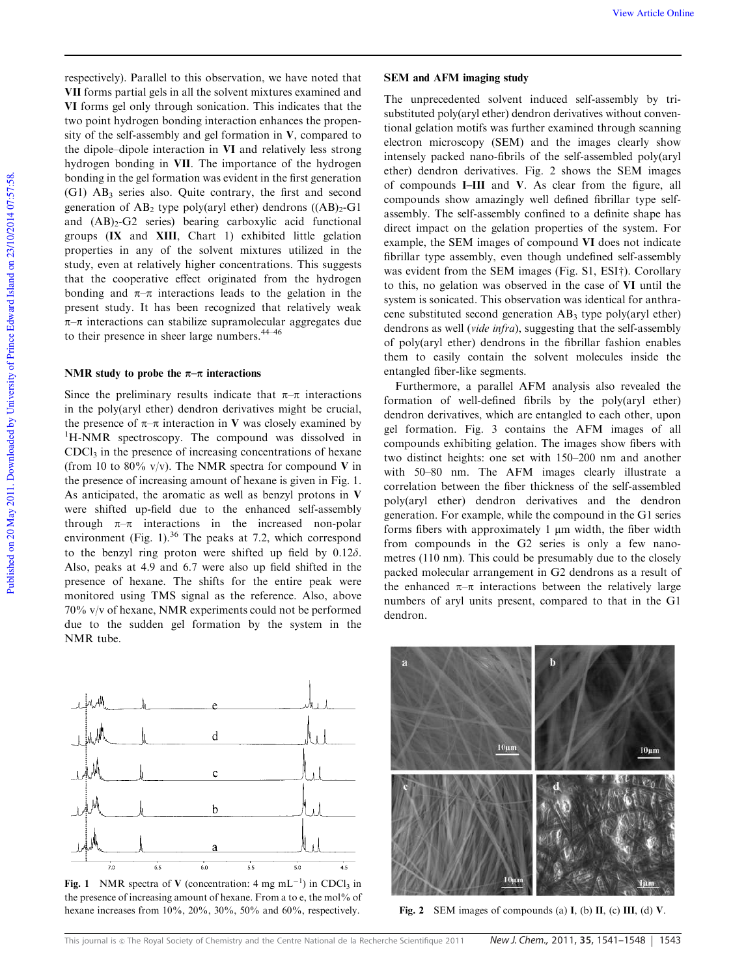respectively). Parallel to this observation, we have noted that VII forms partial gels in all the solvent mixtures examined and VI forms gel only through sonication. This indicates that the two point hydrogen bonding interaction enhances the propensity of the self-assembly and gel formation in  $V$ , compared to the dipole–dipole interaction in VI and relatively less strong hydrogen bonding in VII. The importance of the hydrogen bonding in the gel formation was evident in the first generation (G1) AB<sup>3</sup> series also. Quite contrary, the first and second generation of  $AB_2$  type poly(aryl ether) dendrons  $((AB)_2$ -G1 and  $(AB)_{2}$ -G2 series) bearing carboxylic acid functional groups (IX and XIII, Chart 1) exhibited little gelation properties in any of the solvent mixtures utilized in the study, even at relatively higher concentrations. This suggests that the cooperative effect originated from the hydrogen bonding and  $\pi-\pi$  interactions leads to the gelation in the present study. It has been recognized that relatively weak  $\pi$ – $\pi$  interactions can stabilize supramolecular aggregates due to their presence in sheer large numbers.<sup>44–46</sup>

#### NMR study to probe the  $\pi-\pi$  interactions

Since the preliminary results indicate that  $\pi-\pi$  interactions in the poly(aryl ether) dendron derivatives might be crucial, the presence of  $\pi-\pi$  interaction in V was closely examined by <sup>1</sup>H-NMR spectroscopy. The compound was dissolved in  $CDC<sub>13</sub>$  in the presence of increasing concentrations of hexane (from 10 to 80% v/v). The NMR spectra for compound V in the presence of increasing amount of hexane is given in Fig. 1. As anticipated, the aromatic as well as benzyl protons in V were shifted up-field due to the enhanced self-assembly through  $\pi-\pi$  interactions in the increased non-polar environment (Fig. 1). $36$  The peaks at 7.2, which correspond to the benzyl ring proton were shifted up field by  $0.12\delta$ . Also, peaks at 4.9 and 6.7 were also up field shifted in the presence of hexane. The shifts for the entire peak were monitored using TMS signal as the reference. Also, above 70% v/v of hexane, NMR experiments could not be performed due to the sudden gel formation by the system in the NMR tube.



Fig. 1 NMR spectra of V (concentration:  $4 \text{ mg } \text{mL}^{-1}$ ) in CDCl<sub>3</sub> in the presence of increasing amount of hexane. From a to e, the mol% of hexane increases from 10%, 20%, 30%, 50% and 60%, respectively. Fig. 2 SEM images of compounds (a) I, (b) II, (c) III, (d) V.

#### SEM and AFM imaging study

The unprecedented solvent induced self-assembly by trisubstituted poly(aryl ether) dendron derivatives without conventional gelation motifs was further examined through scanning electron microscopy (SEM) and the images clearly show intensely packed nano-fibrils of the self-assembled poly(aryl ether) dendron derivatives. Fig. 2 shows the SEM images of compounds I–III and V. As clear from the figure, all compounds show amazingly well defined fibrillar type selfassembly. The self-assembly confined to a definite shape has direct impact on the gelation properties of the system. For example, the SEM images of compound VI does not indicate fibrillar type assembly, even though undefined self-assembly was evident from the SEM images (Fig.  $S1$ , ESI $\dagger$ ). Corollary to this, no gelation was observed in the case of VI until the system is sonicated. This observation was identical for anthracene substituted second generation  $AB_3$  type poly(aryl ether) dendrons as well (*vide infra*), suggesting that the self-assembly of poly(aryl ether) dendrons in the fibrillar fashion enables them to easily contain the solvent molecules inside the entangled fiber-like segments.

Furthermore, a parallel AFM analysis also revealed the formation of well-defined fibrils by the poly(aryl ether) dendron derivatives, which are entangled to each other, upon gel formation. Fig. 3 contains the AFM images of all compounds exhibiting gelation. The images show fibers with two distinct heights: one set with 150–200 nm and another with 50–80 nm. The AFM images clearly illustrate a correlation between the fiber thickness of the self-assembled poly(aryl ether) dendron derivatives and the dendron generation. For example, while the compound in the G1 series forms fibers with approximately 1  $\mu$ m width, the fiber width from compounds in the G2 series is only a few nanometres (110 nm). This could be presumably due to the closely packed molecular arrangement in G2 dendrons as a result of the enhanced  $\pi-\pi$  interactions between the relatively large numbers of aryl units present, compared to that in the G1 dendron.

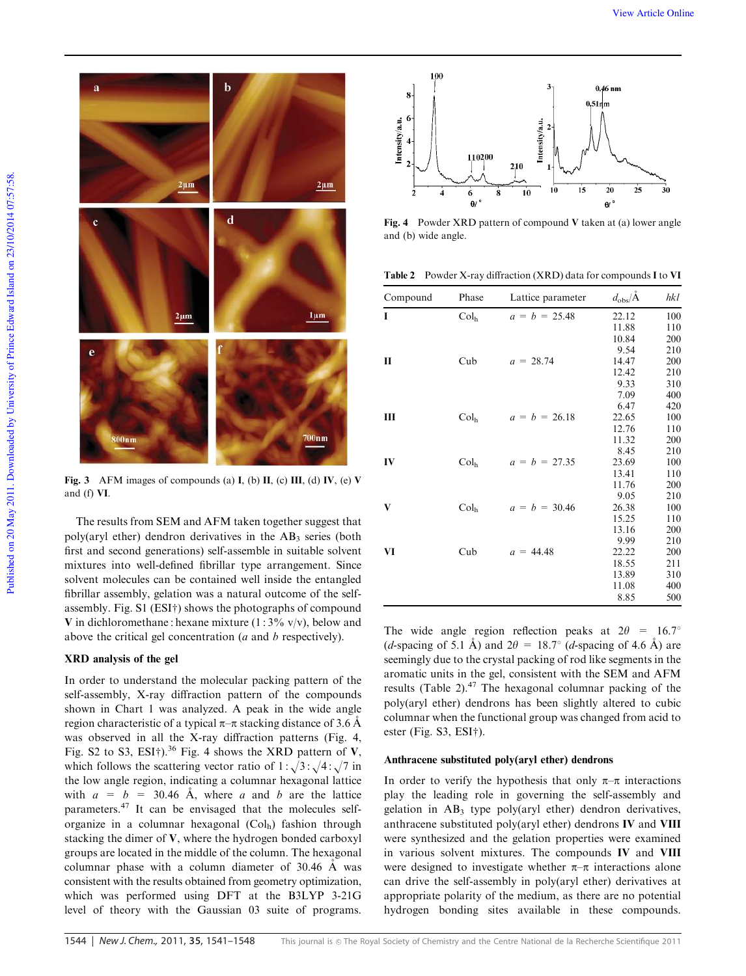

Fig. 3 AFM images of compounds (a) I, (b) II, (c) III, (d) IV, (e) V and (f) VI.

The results from SEM and AFM taken together suggest that poly(aryl ether) dendron derivatives in the  $AB_3$  series (both first and second generations) self-assemble in suitable solvent mixtures into well-defined fibrillar type arrangement. Since solvent molecules can be contained well inside the entangled fibrillar assembly, gelation was a natural outcome of the selfassembly. Fig.  $S1$  (ESI†) shows the photographs of compound V in dichloromethane : hexane mixture  $(1:3\% \text{ v/v})$ , below and above the critical gel concentration (*a* and *b* respectively).

#### XRD analysis of the gel

In order to understand the molecular packing pattern of the self-assembly, X-ray diffraction pattern of the compounds shown in Chart 1 was analyzed. A peak in the wide angle region characteristic of a typical  $\pi-\pi$  stacking distance of 3.6 Å was observed in all the X-ray diffraction patterns (Fig. 4, Fig. S2 to S3, ESI<sup>†</sup>).<sup>36</sup> Fig. 4 shows the XRD pattern of V, which follows the scattering vector ratio of  $1:\sqrt{3}:\sqrt{4}:\sqrt{7}$  in the low angle region, indicating a columnar hexagonal lattice with  $a = b = 30.46$  Å, where *a* and *b* are the lattice parameters.<sup>47</sup> It can be envisaged that the molecules selforganize in a columnar hexagonal (Col<sub>h</sub>) fashion through stacking the dimer of V, where the hydrogen bonded carboxyl groups are located in the middle of the column. The hexagonal columnar phase with a column diameter of  $30.46$  Å was consistent with the results obtained from geometry optimization, which was performed using DFT at the B3LYP 3-21G level of theory with the Gaussian 03 suite of programs.



Fig. 4 Powder XRD pattern of compound V taken at (a) lower angle and (b) wide angle.

Table 2 Powder X-ray diffraction (XRD) data for compounds I to VI

| Compound | Phase            | Lattice parameter | $d_{\text{obs}}/\text{Å}$ | hkl |
|----------|------------------|-------------------|---------------------------|-----|
| I        | Col <sub>h</sub> | $a = b = 25.48$   | 22.12                     | 100 |
|          |                  |                   | 11.88                     | 110 |
|          |                  |                   | 10.84                     | 200 |
|          |                  |                   | 9.54                      | 210 |
| П        | Cub              | $a = 28.74$       | 14.47                     | 200 |
|          |                  |                   | 12.42                     | 210 |
|          |                  |                   | 9.33                      | 310 |
|          |                  |                   | 7.09                      | 400 |
|          |                  |                   | 6.47                      | 420 |
| Ш        | Col <sub>h</sub> | $a = b = 26.18$   | 22.65                     | 100 |
|          |                  |                   | 12.76                     | 110 |
|          |                  |                   | 11.32                     | 200 |
|          |                  |                   | 8.45                      | 210 |
| IV       | Col <sub>h</sub> | $a = b = 27.35$   | 23.69                     | 100 |
|          |                  |                   | 13.41                     | 110 |
|          |                  |                   | 11.76                     | 200 |
|          |                  |                   | 9.05                      | 210 |
| V        | Col <sub>h</sub> | $a = b = 30.46$   | 26.38                     | 100 |
|          |                  |                   | 15.25                     | 110 |
|          |                  |                   | 13.16                     | 200 |
|          |                  |                   | 9.99                      | 210 |
| VI       | Cub              | $a = 44.48$       | 22.22                     | 200 |
|          |                  |                   | 18.55                     | 211 |
|          |                  |                   | 13.89                     | 310 |
|          |                  |                   | 11.08                     | 400 |
|          |                  |                   | 8.85                      | 500 |

The wide angle region reflection peaks at  $2\theta = 16.7^{\circ}$ (*d*-spacing of 5.1 Å) and  $2\theta = 18.7^{\circ}$  (*d*-spacing of 4.6 Å) are seemingly due to the crystal packing of rod like segments in the aromatic units in the gel, consistent with the SEM and AFM results (Table 2). $47$  The hexagonal columnar packing of the poly(aryl ether) dendrons has been slightly altered to cubic columnar when the functional group was changed from acid to ester (Fig. S3, ESI†).

#### Anthracene substituted poly(aryl ether) dendrons

In order to verify the hypothesis that only  $\pi-\pi$  interactions play the leading role in governing the self-assembly and gelation in  $AB_3$  type poly(aryl ether) dendron derivatives, anthracene substituted poly(aryl ether) dendrons IV and VIII were synthesized and the gelation properties were examined in various solvent mixtures. The compounds IV and VIII were designed to investigate whether  $\pi-\pi$  interactions alone can drive the self-assembly in poly(aryl ether) derivatives at appropriate polarity of the medium, as there are no potential hydrogen bonding sites available in these compounds.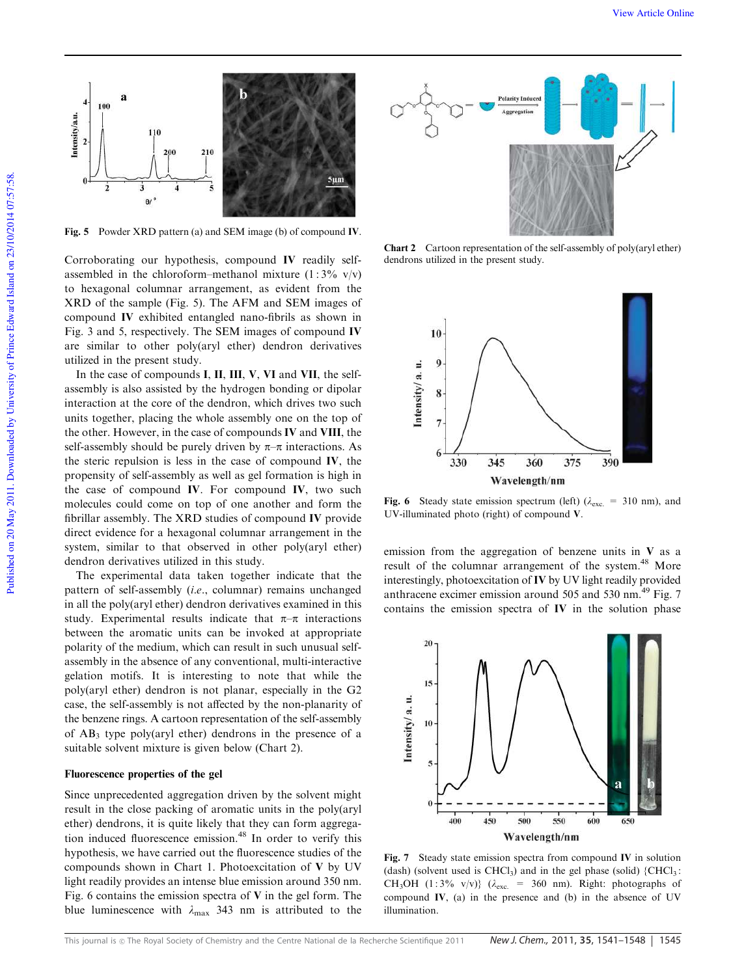![](_page_4_Figure_1.jpeg)

Fig. 5 Powder XRD pattern (a) and SEM image (b) of compound IV.

Corroborating our hypothesis, compound IV readily selfassembled in the chloroform–methanol mixture  $(1:3\%$  v/v) to hexagonal columnar arrangement, as evident from the XRD of the sample (Fig. 5). The AFM and SEM images of compound IV exhibited entangled nano-fibrils as shown in Fig. 3 and 5, respectively. The SEM images of compound IV are similar to other poly(aryl ether) dendron derivatives utilized in the present study.

In the case of compounds I, II, III, V, VI and VII, the selfassembly is also assisted by the hydrogen bonding or dipolar interaction at the core of the dendron, which drives two such units together, placing the whole assembly one on the top of the other. However, in the case of compounds IV and VIII, the self-assembly should be purely driven by  $\pi-\pi$  interactions. As the steric repulsion is less in the case of compound IV, the propensity of self-assembly as well as gel formation is high in the case of compound IV. For compound IV, two such molecules could come on top of one another and form the fibrillar assembly. The XRD studies of compound IV provide direct evidence for a hexagonal columnar arrangement in the system, similar to that observed in other poly(aryl ether) dendron derivatives utilized in this study.

The experimental data taken together indicate that the pattern of self-assembly (*i.e.*, columnar) remains unchanged in all the poly(aryl ether) dendron derivatives examined in this study. Experimental results indicate that  $\pi-\pi$  interactions between the aromatic units can be invoked at appropriate polarity of the medium, which can result in such unusual selfassembly in the absence of any conventional, multi-interactive gelation motifs. It is interesting to note that while the poly(aryl ether) dendron is not planar, especially in the G2 case, the self-assembly is not affected by the non-planarity of the benzene rings. A cartoon representation of the self-assembly of  $AB_3$  type poly(aryl ether) dendrons in the presence of a suitable solvent mixture is given below (Chart 2).

# Fluorescence properties of the gel

Since unprecedented aggregation driven by the solvent might result in the close packing of aromatic units in the poly(aryl ether) dendrons, it is quite likely that they can form aggregation induced fluorescence emission.<sup>48</sup> In order to verify this hypothesis, we have carried out the fluorescence studies of the compounds shown in Chart 1. Photoexcitation of V by UV light readily provides an intense blue emission around 350 nm. Fig. 6 contains the emission spectra of V in the gel form. The blue luminescence with  $\lambda_{\text{max}}$  343 nm is attributed to the

![](_page_4_Figure_8.jpeg)

Chart 2 Cartoon representation of the self-assembly of poly(aryl ether) dendrons utilized in the present study.

![](_page_4_Figure_10.jpeg)

Fig. 6 Steady state emission spectrum (left) ( $\lambda_{\text{exc}} = 310 \text{ nm}$ ), and UV-illuminated photo (right) of compound V.

emission from the aggregation of benzene units in V as a result of the columnar arrangement of the system.<sup>48</sup> More interestingly, photoexcitation of IV by UV light readily provided anthracene excimer emission around 505 and 530 nm.<sup>49</sup> Fig. 7 contains the emission spectra of IV in the solution phase

![](_page_4_Figure_13.jpeg)

Fig. 7 Steady state emission spectra from compound IV in solution (dash) (solvent used is CHCl<sub>3</sub>) and in the gel phase (solid)  ${CHCl<sub>3</sub> :}$ CH<sub>3</sub>OH (1:3% v/v)} ( $\lambda_{\text{exc}}$  = 360 nm). Right: photographs of compound IV, (a) in the presence and (b) in the absence of UV illumination.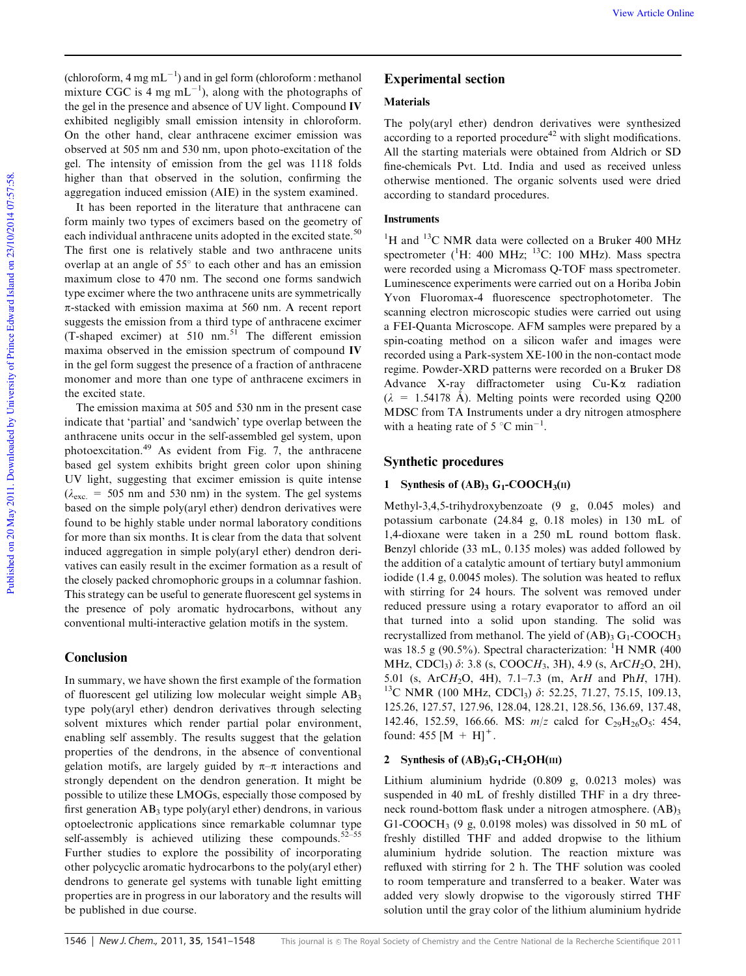View Article Online

(chloroform,  $4 \text{ mg } \text{mL}^{-1}$ ) and in gel form (chloroform : methanol mixture CGC is 4 mg  $mL^{-1}$ ), along with the photographs of the gel in the presence and absence of UV light. Compound IV exhibited negligibly small emission intensity in chloroform. On the other hand, clear anthracene excimer emission was observed at 505 nm and 530 nm, upon photo-excitation of the gel. The intensity of emission from the gel was 1118 folds higher than that observed in the solution, confirming the aggregation induced emission (AIE) in the system examined.

It has been reported in the literature that anthracene can form mainly two types of excimers based on the geometry of each individual anthracene units adopted in the excited state.<sup>50</sup> The first one is relatively stable and two anthracene units overlap at an angle of  $55^{\circ}$  to each other and has an emission maximum close to 470 nm. The second one forms sandwich type excimer where the two anthracene units are symmetrically p-stacked with emission maxima at 560 nm*.* A recent report suggests the emission from a third type of anthracene excimer (T-shaped excimer) at  $510 \text{ nm}$ .<sup>51</sup> The different emission maxima observed in the emission spectrum of compound IV in the gel form suggest the presence of a fraction of anthracene monomer and more than one type of anthracene excimers in the excited state.

The emission maxima at 505 and 530 nm in the present case indicate that 'partial' and 'sandwich' type overlap between the anthracene units occur in the self-assembled gel system, upon photoexcitation.<sup>49</sup> As evident from Fig. 7, the anthracene based gel system exhibits bright green color upon shining UV light, suggesting that excimer emission is quite intense  $(\lambda_{\text{exc}} = 505 \text{ nm}$  and 530 nm) in the system. The gel systems based on the simple poly(aryl ether) dendron derivatives were found to be highly stable under normal laboratory conditions for more than six months. It is clear from the data that solvent induced aggregation in simple poly(aryl ether) dendron derivatives can easily result in the excimer formation as a result of the closely packed chromophoric groups in a columnar fashion. This strategy can be useful to generate fluorescent gel systems in the presence of poly aromatic hydrocarbons, without any conventional multi-interactive gelation motifs in the system.

# Conclusion

In summary, we have shown the first example of the formation of fluorescent gel utilizing low molecular weight simple  $AB_3$ type poly(aryl ether) dendron derivatives through selecting solvent mixtures which render partial polar environment, enabling self assembly. The results suggest that the gelation properties of the dendrons, in the absence of conventional gelation motifs, are largely guided by  $\pi-\pi$  interactions and strongly dependent on the dendron generation. It might be possible to utilize these LMOGs, especially those composed by first generation  $AB_3$  type poly(aryl ether) dendrons, in various optoelectronic applications since remarkable columnar type self-assembly is achieved utilizing these compounds. $52-55$ Further studies to explore the possibility of incorporating other polycyclic aromatic hydrocarbons to the poly(aryl ether) dendrons to generate gel systems with tunable light emitting properties are in progress in our laboratory and the results will be published in due course.

# Experimental section

# Materials

The poly(aryl ether) dendron derivatives were synthesized according to a reported procedure<sup>42</sup> with slight modifications. All the starting materials were obtained from Aldrich or SD fine-chemicals Pvt. Ltd. India and used as received unless otherwise mentioned. The organic solvents used were dried according to standard procedures.

# **Instruments**

 $1H$  and  $13C$  NMR data were collected on a Bruker 400 MHz spectrometer ( ${}^{1}$ H: 400 MHz;  ${}^{13}$ C: 100 MHz). Mass spectra were recorded using a Micromass Q-TOF mass spectrometer. Luminescence experiments were carried out on a Horiba Jobin Yvon Fluoromax-4 fluorescence spectrophotometer. The scanning electron microscopic studies were carried out using a FEI-Quanta Microscope. AFM samples were prepared by a spin-coating method on a silicon wafer and images were recorded using a Park-system XE-100 in the non-contact mode regime. Powder-XRD patterns were recorded on a Bruker D8 Advance X-ray diffractometer using  $Cu-K\alpha$  radiation  $(\lambda = 1.54178 \text{ Å})$ . Melting points were recorded using Q200 MDSC from TA Instruments under a dry nitrogen atmosphere with a heating rate of 5  $^{\circ}$ C min<sup>-1</sup>.

# Synthetic procedures

# 1 Synthesis of  $(AB)_3 G_1$ -COOCH<sub>3</sub>(II)

Methyl-3,4,5-trihydroxybenzoate (9 g, 0.045 moles) and potassium carbonate (24.84 g, 0.18 moles) in 130 mL of 1,4-dioxane were taken in a 250 mL round bottom flask. Benzyl chloride (33 mL, 0.135 moles) was added followed by the addition of a catalytic amount of tertiary butyl ammonium iodide (1.4 g, 0.0045 moles). The solution was heated to reflux with stirring for 24 hours. The solvent was removed under reduced pressure using a rotary evaporator to afford an oil that turned into a solid upon standing. The solid was recrystallized from methanol. The yield of  $(AB)$ <sub>3</sub> G<sub>1</sub>-COOCH<sub>3</sub> was 18.5 g (90.5%). Spectral characterization: <sup>1</sup>H NMR (400) MHz, CDCl3) d: 3.8 (s, COOC*H*3, 3H), 4.9 (s, ArC*H*2O, 2H), 5.01 (s, ArC*H*2O, 4H), 7.1–7.3 (m, Ar*H* and Ph*H*, 17H). <sup>13</sup>C NMR (100 MHz, CDCl<sub>3</sub>) δ: 52.25, 71.27, 75.15, 109.13, 125.26, 127.57, 127.96, 128.04, 128.21, 128.56, 136.69, 137.48, 142.46, 152.59, 166.66. MS:  $m/z$  calcd for C<sub>29</sub>H<sub>26</sub>O<sub>5</sub>: 454, found:  $455 [M + H]^{+}$ .

### 2 Synthesis of  $(AB)_{3}G_{1}$ -CH<sub>2</sub>OH(III)

Lithium aluminium hydride (0.809 g, 0.0213 moles) was suspended in 40 mL of freshly distilled THF in a dry threeneck round-bottom flask under a nitrogen atmosphere.  $(AB)$ <sub>3</sub> G1-COOCH<sub>3</sub> (9 g, 0.0198 moles) was dissolved in 50 mL of freshly distilled THF and added dropwise to the lithium aluminium hydride solution. The reaction mixture was refluxed with stirring for 2 h. The THF solution was cooled to room temperature and transferred to a beaker. Water was added very slowly dropwise to the vigorously stirred THF solution until the gray color of the lithium aluminium hydride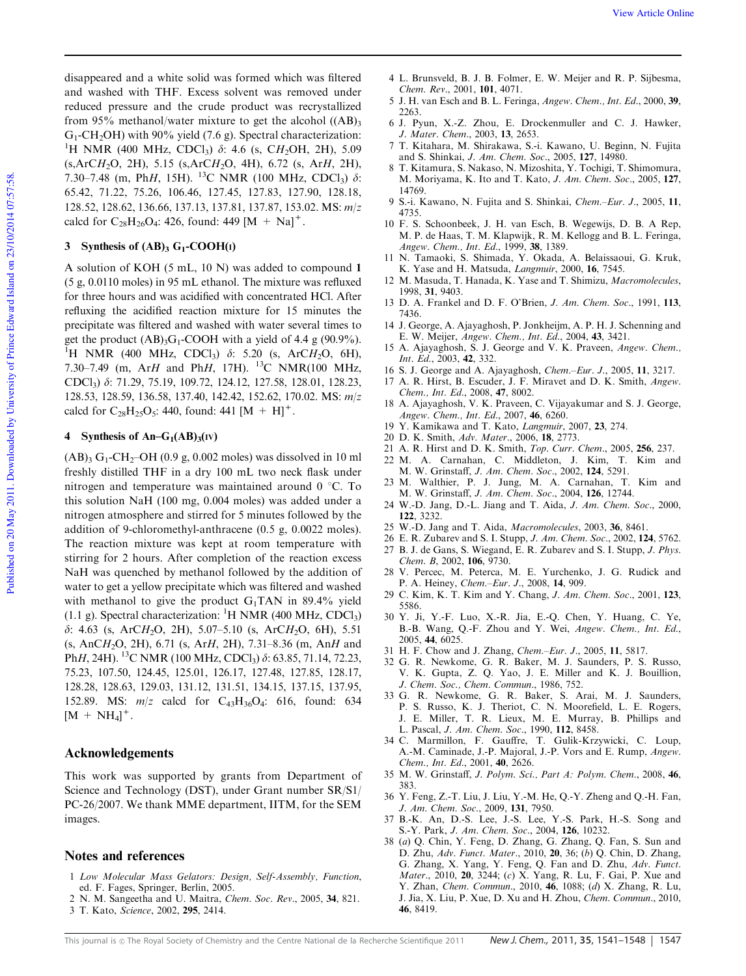disappeared and a white solid was formed which was filtered and washed with THF. Excess solvent was removed under reduced pressure and the crude product was recrystallized from 95% methanol/water mixture to get the alcohol  $((AB)_{3}$  $G_1$ -CH<sub>2</sub>OH) with 90% yield (7.6 g). Spectral characterization: <sup>1</sup>H NMR (400 MHz, CDCl<sub>3</sub>)  $\delta$ : 4.6 (s, CH<sub>2</sub>OH, 2H), 5.09 (s,ArC*H*2O, 2H), 5.15 (s,ArC*H*2O, 4H), 6.72 (s, Ar*H*, 2H), 7.30–7.48 (m, Ph*H*, 15H). <sup>13</sup>C NMR (100 MHz, CDCl<sub>3</sub>)  $\delta$ : 65.42, 71.22, 75.26, 106.46, 127.45, 127.83, 127.90, 128.18, 128.52, 128.62, 136.66, 137.13, 137.81, 137.87, 153.02. MS: *m*/*z* calcd for  $C_{28}H_{26}O_4$ : 426, found: 449 [M + Na]<sup>+</sup>.

# 3 Synthesis of  $(AB)_3$  G<sub>1</sub>-COOH(I)

A solution of KOH (5 mL, 10 N) was added to compound 1 (5 g, 0.0110 moles) in 95 mL ethanol. The mixture was refluxed for three hours and was acidified with concentrated HCl. After refluxing the acidified reaction mixture for 15 minutes the precipitate was filtered and washed with water several times to get the product  $(AB)_{3}G_{1}$ -COOH with a yield of 4.4 g (90.9%). <sup>1</sup>H NMR (400 MHz, CDCl<sub>3</sub>)  $\delta$ : 5.20 (s, ArC*H*<sub>2</sub>O, 6H), 7.30–7.49 (m, Ar*H* and Ph*H*, 17H). <sup>13</sup>C NMR(100 MHz, CDCl3) d: 71.29, 75.19, 109.72, 124.12, 127.58, 128.01, 128.23, 128.53, 128.59, 136.58, 137.40, 142.42, 152.62, 170.02. MS: *m*/*z* calcd for  $C_{28}H_{25}O_5$ : 440, found: 441  $[M + H]$ <sup>+</sup>.

#### 4 Synthesis of An– $G_1(AB)_3$ (IV)

 $(AB)_{3} G_{1}$ -CH<sub>2</sub>-OH (0.9 g, 0.002 moles) was dissolved in 10 ml freshly distilled THF in a dry 100 mL two neck flask under nitrogen and temperature was maintained around  $0^{\circ}$ C. To this solution NaH (100 mg, 0.004 moles) was added under a nitrogen atmosphere and stirred for 5 minutes followed by the addition of 9-chloromethyl-anthracene (0.5 g, 0.0022 moles). The reaction mixture was kept at room temperature with stirring for 2 hours. After completion of the reaction excess NaH was quenched by methanol followed by the addition of water to get a yellow precipitate which was filtered and washed with methanol to give the product  $G_1TAN$  in 89.4% yield (1.1 g). Spectral characterization:  ${}^{1}H$  NMR (400 MHz, CDCl<sub>3</sub>) d: 4.63 (s, ArC*H*2O, 2H), 5.07–5.10 (s, ArC*H*2O, 6H), 5.51 (s, AnC*H*2O, 2H), 6.71 (s, Ar*H*, 2H), 7.31–8.36 (m, An*H* and Ph*H*, 24H). <sup>13</sup>C NMR (100 MHz, CDCl<sub>3</sub>) δ: 63.85, 71.14, 72.23, 75.23, 107.50, 124.45, 125.01, 126.17, 127.48, 127.85, 128.17, 128.28, 128.63, 129.03, 131.12, 131.51, 134.15, 137.15, 137.95, 152.89. MS:  $m/z$  calcd for C<sub>43</sub>H<sub>36</sub>O<sub>4</sub>: 616, found: 634  $[M + NH_4]^+$ .

### Acknowledgements

This work was supported by grants from Department of Science and Technology (DST), under Grant number SR/S1/ PC-26/2007. We thank MME department, IITM, for the SEM images.

### Notes and references

- 1 *Low Molecular Mass Gelators: Design, Self-Assembly, Function*, ed. F. Fages, Springer, Berlin, 2005.
- 2 N. M. Sangeetha and U. Maitra, *Chem. Soc. Rev.*, 2005, 34, 821.
- 3 T. Kato, *Science*, 2002, 295, 2414.
- 4 L. Brunsveld, B. J. B. Folmer, E. W. Meijer and R. P. Sijbesma, *Chem. Rev.*, 2001, 101, 4071.
- 5 J. H. van Esch and B. L. Feringa, *Angew. Chem., Int. Ed.*, 2000, 39, 2263.
- 6 J. Pyun, X.-Z. Zhou, E. Drockenmuller and C. J. Hawker, *J. Mater. Chem.*, 2003, 13, 2653.
- 7 T. Kitahara, M. Shirakawa, S.-i. Kawano, U. Beginn, N. Fujita and S. Shinkai, *J. Am. Chem. Soc.*, 2005, 127, 14980.
- 8 T. Kitamura, S. Nakaso, N. Mizoshita, Y. Tochigi, T. Shimomura, M. Moriyama, K. Ito and T. Kato, *J. Am. Chem. Soc.*, 2005, 127, 14769.
- 9 S.-i. Kawano, N. Fujita and S. Shinkai, *Chem.–Eur. J.*, 2005, 11, 4735.
- 10 F. S. Schoonbeek, J. H. van Esch, B. Wegewijs, D. B. A Rep, M. P. de Haas, T. M. Klapwijk, R. M. Kellogg and B. L. Feringa, *Angew. Chem., Int. Ed.*, 1999, 38, 1389.
- 11 N. Tamaoki, S. Shimada, Y. Okada, A. Belaissaoui, G. Kruk, K. Yase and H. Matsuda, *Langmuir*, 2000, 16, 7545.
- 12 M. Masuda, T. Hanada, K. Yase and T. Shimizu, *Macromolecules*, 1998, 31, 9403.
- 13 D. A. Frankel and D. F. O'Brien, *J. Am. Chem. Soc.*, 1991, 113, 7436.
- 14 J. George, A. Ajayaghosh, P. Jonkheijm, A. P. H. J. Schenning and E. W. Meijer, *Angew. Chem., Int. Ed.*, 2004, 43, 3421.
- 15 A. Ajayaghosh, S. J. George and V. K. Praveen, *Angew. Chem., Int. Ed.*, 2003, 42, 332.
- 16 S. J. George and A. Ajayaghosh, *Chem.–Eur. J.*, 2005, 11, 3217.
- 17 A. R. Hirst, B. Escuder, J. F. Miravet and D. K. Smith, *Angew. Chem., Int. Ed.*, 2008, 47, 8002.
- 18 A. Ajayaghosh, V. K. Praveen, C. Vijayakumar and S. J. George, *Angew. Chem., Int. Ed.*, 2007, 46, 6260.
- 19 Y. Kamikawa and T. Kato, *Langmuir*, 2007, 23, 274.
- 20 D. K. Smith, *Adv. Mater.*, 2006, 18, 2773.
- 21 A. R. Hirst and D. K. Smith, *Top. Curr. Chem.*, 2005, 256, 237.
- 22 M. A. Carnahan, C. Middleton, J. Kim, T. Kim and M. W. Grinstaff, *J. Am. Chem. Soc.*, 2002, 124, 5291.
- 23 M. Walthier, P. J. Jung, M. A. Carnahan, T. Kim and M. W. Grinstaff, *J. Am. Chem. Soc.*, 2004, 126, 12744.
- 24 W.-D. Jang, D.-L. Jiang and T. Aida, *J. Am. Chem. Soc.*, 2000, 122, 3232.
- 25 W.-D. Jang and T. Aida, *Macromolecules*, 2003, 36, 8461.
- 26 E. R. Zubarev and S. I. Stupp, *J. Am. Chem. Soc.*, 2002, 124, 5762.
- 27 B. J. de Gans, S. Wiegand, E. R. Zubarev and S. I. Stupp, *J. Phys. Chem. B*, 2002, 106, 9730.
- 28 V. Percec, M. Peterca, M. E. Yurchenko, J. G. Rudick and P. A. Heiney, *Chem.–Eur. J.*, 2008, 14, 909.
- 29 C. Kim, K. T. Kim and Y. Chang, *J. Am. Chem. Soc.*, 2001, 123, 5586.
- 30 Y. Ji, Y.-F. Luo, X.-R. Jia, E.-Q. Chen, Y. Huang, C. Ye, B.-B. Wang, Q.-F. Zhou and Y. Wei, *Angew. Chem., Int. Ed.*, 2005, 44, 6025.
- 31 H. F. Chow and J. Zhang, *Chem.–Eur. J.*, 2005, 11, 5817.
- 32 G. R. Newkome, G. R. Baker, M. J. Saunders, P. S. Russo, V. K. Gupta, Z. Q. Yao, J. E. Miller and K. J. Bouillion, *J. Chem. Soc., Chem. Commun.*, 1986, 752.
- 33 G. R. Newkome, G. R. Baker, S. Arai, M. J. Saunders, P. S. Russo, K. J. Theriot, C. N. Moorefield, L. E. Rogers, J. E. Miller, T. R. Lieux, M. E. Murray, B. Phillips and L. Pascal, *J. Am. Chem. Soc.*, 1990, 112, 8458.
- 34 C. Marmillon, F. Gauffre, T. Gulik-Krzywicki, C. Loup, A.-M. Caminade, J.-P. Majoral, J.-P. Vors and E. Rump, *Angew. Chem., Int. Ed.*, 2001, 40, 2626.
- 35 M. W. Grinstaff, *J. Polym. Sci., Part A: Polym. Chem.*, 2008, 46, 383.
- 36 Y. Feng, Z.-T. Liu, J. Liu, Y.-M. He, Q.-Y. Zheng and Q.-H. Fan, *J. Am. Chem. Soc.*, 2009, 131, 7950.
- 37 B.-K. An, D.-S. Lee, J.-S. Lee, Y.-S. Park, H.-S. Song and S.-Y. Park, *J. Am. Chem. Soc.*, 2004, 126, 10232.
- 38 (*a*) Q. Chin, Y. Feng, D. Zhang, G. Zhang, Q. Fan, S. Sun and D. Zhu, *Adv. Funct. Mater.*, 2010, 20, 36; (*b*) Q. Chin, D. Zhang, G. Zhang, X. Yang, Y. Feng, Q. Fan and D. Zhu, *Adv. Funct. Mater.*, 2010, 20, 3244; (*c*) X. Yang, R. Lu, F. Gai, P. Xue and Y. Zhan, *Chem. Commun.*, 2010, 46, 1088; (*d*) X. Zhang, R. Lu, J. Jia, X. Liu, P. Xue, D. Xu and H. Zhou, *Chem. Commun.*, 2010, 46, 8419.